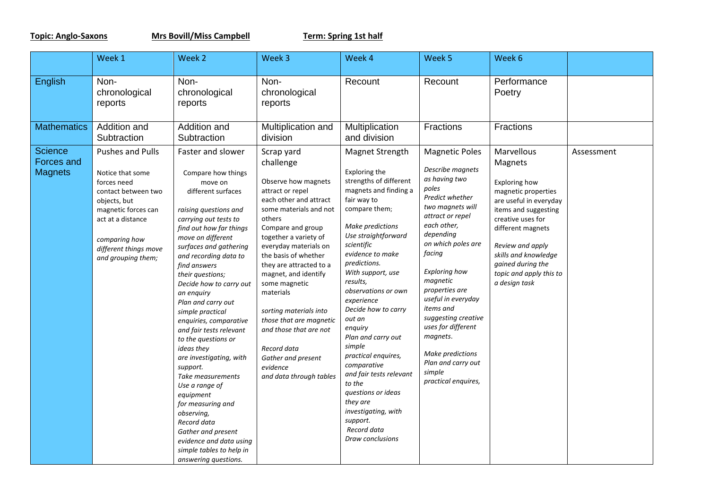**Topic: Anglo-Saxons Mrs Bovill/Miss Campbell Term: Spring 1st half**

|                                                | Week 1                                                                                                                                                                                                        | Week 2                                                                                                                                                                                                                                                                                                                                                                                                                                                                                                                                                                                                                                                                                           | Week 3                                                                                                                                                                                                                                                                                                                                                                                                                                                                      | Week 4                                                                                                                                                                                                                                                                                                                                                                                                                                                                                                                                                | Week 5                                                                                                                                                                                                                                                                                                                                                                                                           | Week 6                                                                                                                                                                                                                                                                        |            |
|------------------------------------------------|---------------------------------------------------------------------------------------------------------------------------------------------------------------------------------------------------------------|--------------------------------------------------------------------------------------------------------------------------------------------------------------------------------------------------------------------------------------------------------------------------------------------------------------------------------------------------------------------------------------------------------------------------------------------------------------------------------------------------------------------------------------------------------------------------------------------------------------------------------------------------------------------------------------------------|-----------------------------------------------------------------------------------------------------------------------------------------------------------------------------------------------------------------------------------------------------------------------------------------------------------------------------------------------------------------------------------------------------------------------------------------------------------------------------|-------------------------------------------------------------------------------------------------------------------------------------------------------------------------------------------------------------------------------------------------------------------------------------------------------------------------------------------------------------------------------------------------------------------------------------------------------------------------------------------------------------------------------------------------------|------------------------------------------------------------------------------------------------------------------------------------------------------------------------------------------------------------------------------------------------------------------------------------------------------------------------------------------------------------------------------------------------------------------|-------------------------------------------------------------------------------------------------------------------------------------------------------------------------------------------------------------------------------------------------------------------------------|------------|
| English                                        | Non-<br>chronological<br>reports                                                                                                                                                                              | Non-<br>chronological<br>reports                                                                                                                                                                                                                                                                                                                                                                                                                                                                                                                                                                                                                                                                 | Non-<br>chronological<br>reports                                                                                                                                                                                                                                                                                                                                                                                                                                            | Recount                                                                                                                                                                                                                                                                                                                                                                                                                                                                                                                                               | Recount                                                                                                                                                                                                                                                                                                                                                                                                          | Performance<br>Poetry                                                                                                                                                                                                                                                         |            |
| <b>Mathematics</b>                             | Addition and<br>Subtraction                                                                                                                                                                                   | Addition and<br>Subtraction                                                                                                                                                                                                                                                                                                                                                                                                                                                                                                                                                                                                                                                                      | Multiplication and<br>division                                                                                                                                                                                                                                                                                                                                                                                                                                              | Multiplication<br>and division                                                                                                                                                                                                                                                                                                                                                                                                                                                                                                                        | Fractions                                                                                                                                                                                                                                                                                                                                                                                                        | Fractions                                                                                                                                                                                                                                                                     |            |
| <b>Science</b><br>Forces and<br><b>Magnets</b> | <b>Pushes and Pulls</b><br>Notice that some<br>forces need<br>contact between two<br>objects, but<br>magnetic forces can<br>act at a distance<br>comparing how<br>different things move<br>and grouping them; | Faster and slower<br>Compare how things<br>move on<br>different surfaces<br>raising questions and<br>carrying out tests to<br>find out how far things<br>move on different<br>surfaces and gathering<br>and recording data to<br>find answers<br>their questions;<br>Decide how to carry out<br>an enguiry<br>Plan and carry out<br>simple practical<br>enquiries, comparative<br>and fair tests relevant<br>to the questions or<br>ideas they<br>are investigating, with<br>support.<br>Take measurements<br>Use a range of<br>equipment<br>for measuring and<br>observina,<br>Record data<br>Gather and present<br>evidence and data using<br>simple tables to help in<br>answering questions. | Scrap yard<br>challenge<br>Observe how magnets<br>attract or repel<br>each other and attract<br>some materials and not<br>others<br>Compare and group<br>together a variety of<br>everyday materials on<br>the basis of whether<br>they are attracted to a<br>magnet, and identify<br>some magnetic<br>materials<br>sorting materials into<br>those that are magnetic<br>and those that are not<br>Record data<br>Gather and present<br>evidence<br>and data through tables | Magnet Strength<br>Exploring the<br>strengths of different<br>magnets and finding a<br>fair way to<br>compare them;<br>Make predictions<br>Use straightforward<br>scientific<br>evidence to make<br>predictions.<br>With support, use<br>results,<br>observations or own<br>experience<br>Decide how to carry<br>out an<br>enquiry<br>Plan and carry out<br>simple<br>practical enquires,<br>comparative<br>and fair tests relevant<br>to the<br>questions or ideas<br>they are<br>investigating, with<br>support.<br>Record data<br>Draw conclusions | <b>Magnetic Poles</b><br>Describe magnets<br>as having two<br>poles<br>Predict whether<br>two magnets will<br>attract or repel<br>each other,<br>depending<br>on which poles are<br>facing<br>Exploring how<br>magnetic<br>properties are<br>useful in everyday<br>items and<br>suggesting creative<br>uses for different<br>magnets.<br>Make predictions<br>Plan and carry out<br>simple<br>practical enquires, | Marvellous<br>Magnets<br><b>Exploring how</b><br>magnetic properties<br>are useful in everyday<br>items and suggesting<br>creative uses for<br>different magnets<br>Review and apply<br>skills and knowledge<br>gained during the<br>topic and apply this to<br>a design task | Assessment |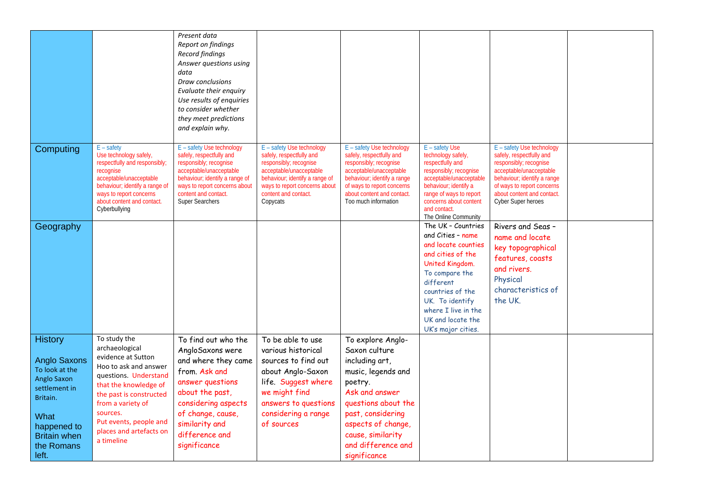|                                                                                                                                                                          |                                                                                                                                                                                                                                                                | Present data<br>Report on findings<br><b>Record findings</b><br>Answer questions using<br>data<br>Draw conclusions<br>Evaluate their enquiry<br>Use results of enquiries<br>to consider whether<br>they meet predictions<br>and explain why. |                                                                                                                                                                                                                   |                                                                                                                                                                                                                                      |                                                                                                                                                                                                                                                |                                                                                                                                                                                                                             |  |
|--------------------------------------------------------------------------------------------------------------------------------------------------------------------------|----------------------------------------------------------------------------------------------------------------------------------------------------------------------------------------------------------------------------------------------------------------|----------------------------------------------------------------------------------------------------------------------------------------------------------------------------------------------------------------------------------------------|-------------------------------------------------------------------------------------------------------------------------------------------------------------------------------------------------------------------|--------------------------------------------------------------------------------------------------------------------------------------------------------------------------------------------------------------------------------------|------------------------------------------------------------------------------------------------------------------------------------------------------------------------------------------------------------------------------------------------|-----------------------------------------------------------------------------------------------------------------------------------------------------------------------------------------------------------------------------|--|
| Computing                                                                                                                                                                | $E -$ safety<br>Use technology safely,<br>respectfully and responsibly;<br>recognise<br>acceptable/unacceptable<br>behaviour; identify a range of<br>ways to report concerns<br>about content and contact.<br>Cyberbullying                                    | E - safety Use technology<br>safely, respectfully and<br>responsibly; recognise<br>acceptable/unacceptable<br>behaviour; identify a range of<br>ways to report concerns about<br>content and contact.<br><b>Super Searchers</b>              | E - safety Use technology<br>safely, respectfully and<br>responsibly; recognise<br>acceptable/unacceptable<br>behaviour; identify a range of<br>ways to report concerns about<br>content and contact.<br>Copycats | E - safety Use technology<br>safely, respectfully and<br>responsibly; recognise<br>acceptable/unacceptable<br>behaviour; identify a range<br>of ways to report concerns<br>about content and contact.<br>Too much information        | E - safety Use<br>technology safely,<br>respectfully and<br>responsibly; recognise<br>acceptable/unacceptable<br>behaviour; identify a<br>range of ways to report<br>concerns about content<br>and contact.<br>The Online Community            | E - safety Use technology<br>safely, respectfully and<br>responsibly; recognise<br>acceptable/unacceptable<br>behaviour; identify a range<br>of ways to report concerns<br>about content and contact.<br>Cyber Super heroes |  |
| Geography                                                                                                                                                                |                                                                                                                                                                                                                                                                |                                                                                                                                                                                                                                              |                                                                                                                                                                                                                   |                                                                                                                                                                                                                                      | The UK - Countries<br>and Cities - name<br>and locate counties<br>and cities of the<br>United Kingdom.<br>To compare the<br>different<br>countries of the<br>UK. To identify<br>where I live in the<br>UK and locate the<br>UK's major cities. | Rivers and Seas -<br>name and locate<br>key topographical<br>features, coasts<br>and rivers.<br>Physical<br>characteristics of<br>the UK.                                                                                   |  |
| <b>History</b><br><b>Anglo Saxons</b><br>To look at the<br>Anglo Saxon<br>settlement in<br>Britain.<br>What<br>happened to<br><b>Britain when</b><br>the Romans<br>left. | To study the<br>archaeological<br>evidence at Sutton<br>Hoo to ask and answer<br>questions. Understand<br>that the knowledge of<br>the past is constructed<br>from a variety of<br>sources.<br>Put events, people and<br>places and artefacts on<br>a timeline | To find out who the<br>AngloSaxons were<br>and where they came<br>from. Ask and<br>answer questions<br>about the past,<br>considering aspects<br>of change, cause,<br>similarity and<br>difference and<br>significance                       | To be able to use<br>various historical<br>sources to find out<br>about Anglo-Saxon<br>life. Suggest where<br>we might find<br>answers to questions<br>considering a range<br>of sources                          | To explore Anglo-<br>Saxon culture<br>including art,<br>music, legends and<br>poetry.<br>Ask and answer<br>questions about the<br>past, considering<br>aspects of change,<br>cause, similarity<br>and difference and<br>significance |                                                                                                                                                                                                                                                |                                                                                                                                                                                                                             |  |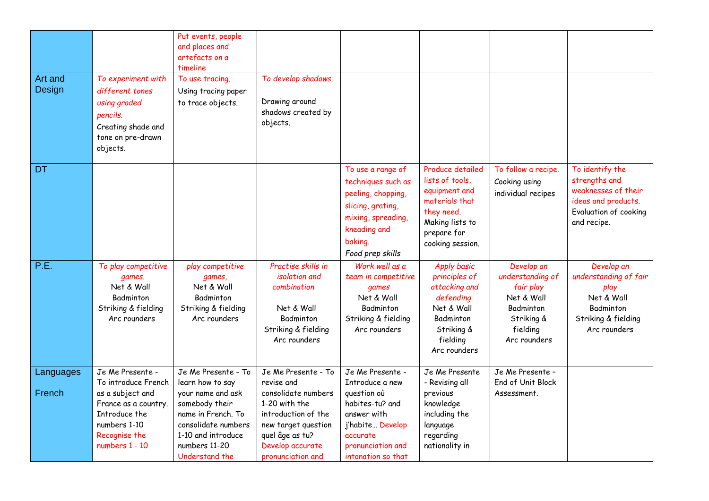|                     |                                                                                                                                                         | Put events, people<br>and places and<br>artefacts on a<br>timeline                                                                                                                   |                                                                                                                                                                                     |                                                                                                                                                                 |                                                                                                                                            |                                                                                                                  |                                                                                                                        |
|---------------------|---------------------------------------------------------------------------------------------------------------------------------------------------------|--------------------------------------------------------------------------------------------------------------------------------------------------------------------------------------|-------------------------------------------------------------------------------------------------------------------------------------------------------------------------------------|-----------------------------------------------------------------------------------------------------------------------------------------------------------------|--------------------------------------------------------------------------------------------------------------------------------------------|------------------------------------------------------------------------------------------------------------------|------------------------------------------------------------------------------------------------------------------------|
| Art and<br>Design   | To experiment with<br>different tones<br>using graded<br>pencils.<br>Creating shade and<br>tone on pre-drawn<br>objects.                                | To use tracing.<br>Using tracing paper<br>to trace objects.                                                                                                                          | To develop shadows.<br>Drawing around<br>shadows created by<br>objects.                                                                                                             |                                                                                                                                                                 |                                                                                                                                            |                                                                                                                  |                                                                                                                        |
| DT                  |                                                                                                                                                         |                                                                                                                                                                                      |                                                                                                                                                                                     | To use a range of<br>techniques such as<br>peeling, chopping,<br>slicing, grating,<br>mixing, spreading,<br>kneading and<br>baking.<br>Food prep skills         | Produce detailed<br>lists of tools,<br>equipment and<br>materials that<br>they need.<br>Making lists to<br>prepare for<br>cooking session. | To follow a recipe.<br>Cooking using<br>individual recipes                                                       | To identify the<br>strengths and<br>weaknesses of their<br>ideas and products.<br>Evaluation of cooking<br>and recipe. |
| P.E.                | To play competitive<br>games.<br>Net & Wall<br>Badminton<br>Striking & fielding<br>Arc rounders                                                         | play competitive<br>games,<br>Net & Wall<br>Badminton<br>Striking & fielding<br>Arc rounders                                                                                         | Practise skills in<br><i>isolation</i> and<br>combination<br>Net & Wall<br>Badminton<br>Striking & fielding<br>Arc rounders                                                         | Work well as a<br>team in competitive<br>games<br>Net & Wall<br>Badminton<br>Striking & fielding<br>Arc rounders                                                | <b>Apply basic</b><br>principles of<br>attacking and<br>defending<br>Net & Wall<br>Badminton<br>Striking &<br>fielding<br>Arc rounders     | Develop an<br>understanding of<br>fair play<br>Net & Wall<br>Badminton<br>Striking &<br>fielding<br>Arc rounders | Develop an<br>understanding of fair<br>play<br>Net & Wall<br>Badminton<br>Striking & fielding<br>Arc rounders          |
| Languages<br>French | Je Me Presente -<br>To introduce French<br>as a subject and<br>France as a country.<br>Introduce the<br>numbers 1-10<br>Recognise the<br>numbers 1 - 10 | Je Me Presente - To<br>learn how to say<br>your name and ask<br>somebody their<br>name in French. To<br>consolidate numbers<br>1-10 and introduce<br>numbers 11-20<br>Understand the | Je Me Presente - To<br>revise and<br>consolidate numbers<br>1-20 with the<br>introduction of the<br>new target question<br>quel âge as tu?<br>Develop accurate<br>pronunciation and | Je Me Presente -<br>Introduce a new<br>question où<br>habites-tu? and<br>answer with<br>j'habite Develop<br>accurate<br>pronunciation and<br>intonation so that | Je Me Presente<br>- Revising all<br>previous<br>knowledge<br>including the<br>language<br>regarding<br>nationality in                      | Je Me Presente -<br>End of Unit Block<br>Assessment.                                                             |                                                                                                                        |